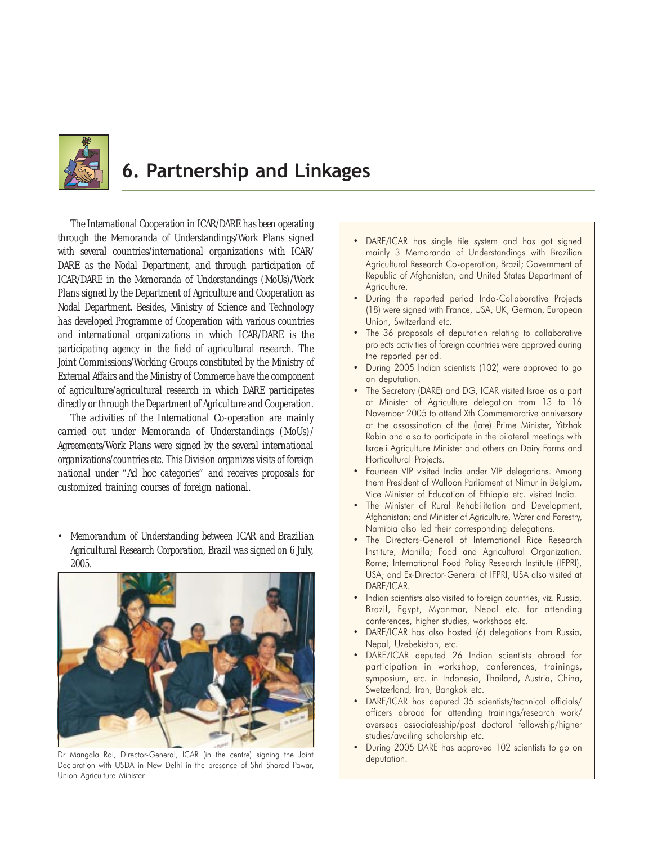

# 6. Partnership and Linkages

The International Cooperation in ICAR/DARE has been operating through the Memoranda of Understandings/Work Plans signed with several countries/international organizations with ICAR/ DARE as the Nodal Department, and through participation of ICAR/DARE in the Memoranda of Understandings (MoUs)/Work Plans signed by the Department of Agriculture and Cooperation as Nodal Department. Besides, Ministry of Science and Technology has developed Programme of Cooperation with various countries and international organizations in which ICAR/DARE is the participating agency in the field of agricultural research. The Joint Commissions/Working Groups constituted by the Ministry of External Affairs and the Ministry of Commerce have the component of agriculture/agricultural research in which DARE participates directly or through the Department of Agriculture and Cooperation.

The activities of the International Co-operation are mainly carried out under Memoranda of Understandings (MoUs)/ Agreements/Work Plans were signed by the several international organizations/countries etc. This Division organizes visits of foreign national under "*Ad hoc* categories" and receives proposals for customized training courses of foreign national.

• Memorandum of Understanding between ICAR and Brazilian Agricultural Research Corporation, Brazil was signed on 6 July, 2005.



Dr Mangala Rai, Director-General, ICAR (in the centre) signing the Joint Declaration with USDA in New Delhi in the presence of Shri Sharad Pawar, Union Agriculture Minister

- DARE/ICAR has single file system and has got signed mainly 3 Memoranda of Understandings with Brazilian Agricultural Research Co-operation, Brazil; Government of Republic of Afghanistan; and United States Department of Agriculture.
- During the reported period Indo-Collaborative Projects (18) were signed with France, USA, UK, German, European Union, Switzerland etc.
- The 36 proposals of deputation relating to collaborative projects activities of foreign countries were approved during the reported period.
- During 2005 Indian scientists (102) were approved to go on deputation.
- The Secretary (DARE) and DG, ICAR visited Israel as a part of Minister of Agriculture delegation from 13 to 16 November 2005 to attend Xth Commemorative anniversary of the assassination of the (late) Prime Minister, Yitzhak Rabin and also to participate in the bilateral meetings with Israeli Agriculture Minister and others on Dairy Farms and Horticultural Projects.
- Fourteen VIP visited India under VIP delegations. Among them President of Walloon Parliament at Nimur in Belgium, Vice Minister of Education of Ethiopia etc. visited India.
- The Minister of Rural Rehabilitation and Development, Afghanistan; and Minister of Agriculture, Water and Forestry, Namibia also led their corresponding delegations.
- The Directors-General of International Rice Research Institute, Manilla; Food and Agricultural Organization, Rome; International Food Policy Research Institute (IFPRI), USA; and Ex-Director-General of IFPRI, USA also visited at DARE/ICAR.
- Indian scientists also visited to foreign countries, viz. Russia, Brazil, Egypt, Myanmar, Nepal etc. for attending conferences, higher studies, workshops etc.
- DARE/ICAR has also hosted (6) delegations from Russia, Nepal, Uzebekistan, etc.
- DARE/ICAR deputed 26 Indian scientists abroad for participation in workshop, conferences, trainings, symposium, etc. in Indonesia, Thailand, Austria, China, Swetzerland, Iran, Bangkok etc.
- DARE/ICAR has deputed 35 scientists/technical officials/ officers abroad for attending trainings/research work/ overseas associatesship/post doctoral fellowship/higher studies/availing scholarship etc.
- During 2005 DARE has approved 102 scientists to go on deputation.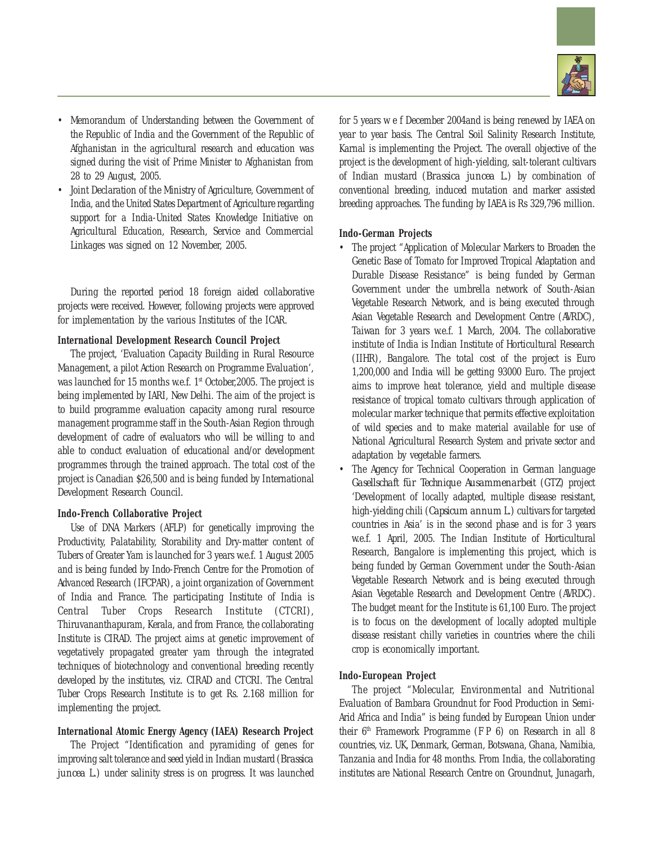

- Memorandum of Understanding between the Government of the Republic of India and the Government of the Republic of Afghanistan in the agricultural research and education was signed during the visit of Prime Minister to Afghanistan from 28 to 29 August, 2005.
- Joint Declaration of the Ministry of Agriculture, Government of India, and the United States Department of Agriculture regarding support for a India-United States Knowledge Initiative on Agricultural Education, Research, Service and Commercial Linkages was signed on 12 November, 2005.

During the reported period 18 foreign aided collaborative projects were received. However, following projects were approved for implementation by the various Institutes of the ICAR.

## **International Development Research Council Project**

The project, 'Evaluation Capacity Building in Rural Resource Management, a pilot Action Research on Programme Evaluation', was launched for 15 months w.e.f. 1<sup>st</sup> October, 2005. The project is being implemented by IARI, New Delhi. The aim of the project is to build programme evaluation capacity among rural resource management programme staff in the South-Asian Region through development of cadre of evaluators who will be willing to and able to conduct evaluation of educational and/or development programmes through the trained approach. The total cost of the project is Canadian \$26,500 and is being funded by International Development Research Council.

#### **Indo-French Collaborative Project**

Use of DNA Markers (AFLP) for genetically improving the Productivity, Palatability, Storability and Dry-matter content of Tubers of Greater Yam is launched for 3 years w.e.f. 1 August 2005 and is being funded by Indo-French Centre for the Promotion of Advanced Research (IFCPAR), a joint organization of Government of India and France. The participating Institute of India is Central Tuber Crops Research Institute (CTCRI), Thiruvananthapuram, Kerala, and from France, the collaborating Institute is CIRAD. The project aims at genetic improvement of vegetatively propagated greater yam through the integrated techniques of biotechnology and conventional breeding recently developed by the institutes, viz. CIRAD and CTCRI. The Central Tuber Crops Research Institute is to get Rs. 2.168 million for implementing the project.

#### **International Atomic Energy Agency (IAEA) Research Project**

The Project "Identification and pyramiding of genes for improving salt tolerance and seed yield in Indian mustard (*Brassica juncea* L.) under salinity stress is on progress. It was launched

for 5 years w e f December 2004and is being renewed by IAEA on year to year basis. The Central Soil Salinity Research Institute, Karnal is implementing the Project. The overall objective of the project is the development of high-yielding, salt-tolerant cultivars of Indian mustard (*Brassica juncea* L.) by combination of conventional breeding, induced mutation and marker assisted breeding approaches. The funding by IAEA is Rs 329,796 million.

#### **Indo-German Projects**

- The project "Application of Molecular Markers to Broaden the Genetic Base of Tomato for Improved Tropical Adaptation and Durable Disease Resistance" is being funded by German Government under the umbrella network of South-Asian Vegetable Research Network, and is being executed through Asian Vegetable Research and Development Centre (AVRDC), Taiwan for 3 years w.e.f. 1 March, 2004. The collaborative institute of India is Indian Institute of Horticultural Research (IIHR), Bangalore. The total cost of the project is Euro 1,200,000 and India will be getting 93000 Euro. The project aims to improve heat tolerance, yield and multiple disease resistance of tropical tomato cultivars through application of molecular marker technique that permits effective exploitation of wild species and to make material available for use of National Agricultural Research System and private sector and adaptation by vegetable farmers.
- The Agency for Technical Cooperation in German language *Gasellschaft für Technique Ausammenarbeit* (GTZ) project 'Development of locally adapted, multiple disease resistant, high-yielding chili (*Capsicum annum* L.) cultivars for targeted countries in Asia' is in the second phase and is for 3 years w.e.f. 1 April, 2005. The Indian Institute of Horticultural Research, Bangalore is implementing this project, which is being funded by German Government under the South-Asian Vegetable Research Network and is being executed through Asian Vegetable Research and Development Centre (AVRDC). The budget meant for the Institute is 61,100 Euro. The project is to focus on the development of locally adopted multiple disease resistant chilly varieties in countries where the chili crop is economically important.

## **Indo-European Project**

The project "Molecular, Environmental and Nutritional Evaluation of Bambara Groundnut for Food Production in Semi-Arid Africa and India" is being funded by European Union under their  $6<sup>th</sup>$  Framework Programme (F P 6) on Research in all 8 countries, viz. UK, Denmark, German, Botswana, Ghana, Namibia, Tanzania and India for 48 months. From India, the collaborating institutes are National Research Centre on Groundnut, Junagarh,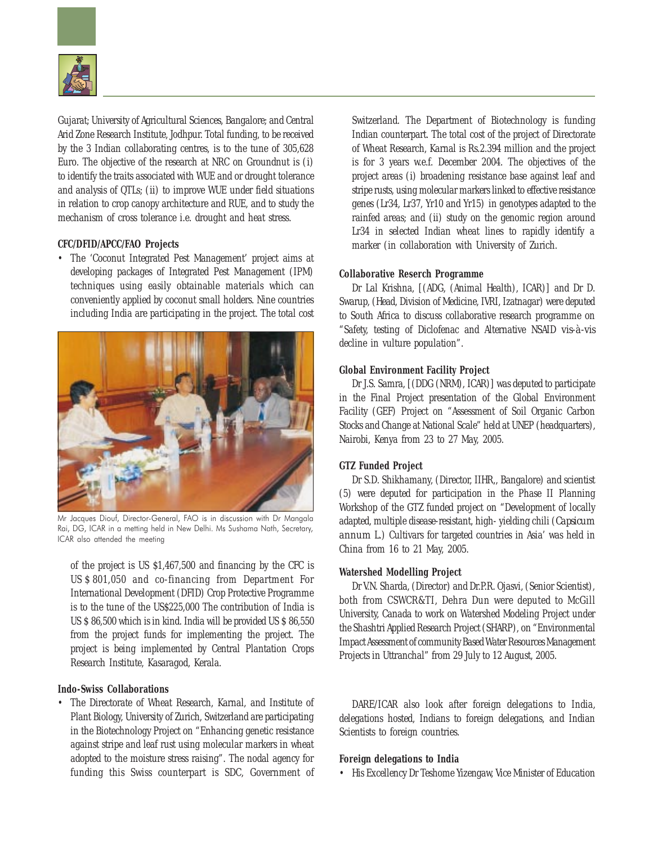

Gujarat; University of Agricultural Sciences, Bangalore; and Central Arid Zone Research Institute, Jodhpur. Total funding, to be received by the 3 Indian collaborating centres, is to the tune of 305,628 Euro. The objective of the research at NRC on Groundnut is (*i*) to identify the traits associated with WUE and or drought tolerance and analysis of QTLs; (*ii*) to improve WUE under field situations in relation to crop canopy architecture and RUE, and to study the mechanism of cross tolerance i.e. drought and heat stress.

## **CFC/DFID/APCC/FAO Projects**

• The 'Coconut Integrated Pest Management' project aims at developing packages of Integrated Pest Management (IPM) techniques using easily obtainable materials which can conveniently applied by coconut small holders. Nine countries including India are participating in the project. The total cost



Mr Jacques Diouf, Director-General, FAO is in discussion with Dr Mangala Rai, DG, ICAR in a metting held in New Delhi. Ms Sushama Nath, Secretary, ICAR also attended the meeting

of the project is US \$1,467,500 and financing by the CFC is US \$ 801,050 and co-financing from Department For International Development (DFID) Crop Protective Programme is to the tune of the US\$225,000 The contribution of India is US \$ 86,500 which is in kind. India will be provided US \$ 86,550 from the project funds for implementing the project. The project is being implemented by Central Plantation Crops Research Institute, Kasaragod, Kerala.

## **Indo-Swiss Collaborations**

• The Directorate of Wheat Research, Karnal, and Institute of Plant Biology, University of Zurich, Switzerland are participating in the Biotechnology Project on "Enhancing genetic resistance against stripe and leaf rust using molecular markers in wheat adopted to the moisture stress raising". The nodal agency for funding this Swiss counterpart is SDC, Government of Switzerland. The Department of Biotechnology is funding Indian counterpart. The total cost of the project of Directorate of Wheat Research, Karnal is Rs.2.394 million and the project is for 3 years w.e.f. December 2004. The objectives of the project areas (*i*) broadening resistance base against leaf and stripe rusts, using molecular markers linked to effective resistance genes (Lr34, Lr37, Yr10 and Yr15) in genotypes adapted to the rainfed areas; and (*ii*) study on the genomic region around Lr34 in selected Indian wheat lines to rapidly identify a marker (in collaboration with University of Zurich.

## **Collaborative Reserch Programme**

Dr Lal Krishna, [(ADG, (Animal Health), ICAR)] and Dr D. Swarup, (Head, Division of Medicine, IVRI, Izatnagar) were deputed to South Africa to discuss collaborative research programme on "Safety, testing of Diclofenac and Alternative NSAID *vis-à-vis* decline in vulture population".

#### **Global Environment Facility Project**

Dr J.S. Samra, [(DDG (NRM), ICAR)] was deputed to participate in the Final Project presentation of the Global Environment Facility (GEF) Project on "Assessment of Soil Organic Carbon Stocks and Change at National Scale" held at UNEP (headquarters), Nairobi, Kenya from 23 to 27 May, 2005.

## **GTZ Funded Project**

Dr S.D. Shikhamany, (Director, IIHR,, Bangalore) and scientist (5) were deputed for participation in the Phase II Planning Workshop of the GTZ funded project on "Development of locally adapted, multiple disease-resistant, high- yielding chili (*Capsicum annum* L.) Cultivars for targeted countries in Asia' was held in China from 16 to 21 May, 2005.

#### **Watershed Modelling Project**

Dr V.N. Sharda, (Director) and Dr.P.R. Ojasvi, (Senior Scientist), both from CSWCR&TI, Dehra Dun were deputed to McGill University, Canada to work on Watershed Modeling Project under the Shashtri Applied Research Project (SHARP), on "Environmental Impact Assessment of community Based Water Resources Management Projects in Uttranchal" from 29 July to 12 August, 2005.

DARE/ICAR also look after foreign delegations to India, delegations hosted, Indians to foreign delegations, and Indian Scientists to foreign countries.

#### **Foreign delegations to India**

• His Excellency Dr Teshome Yizengaw, Vice Minister of Education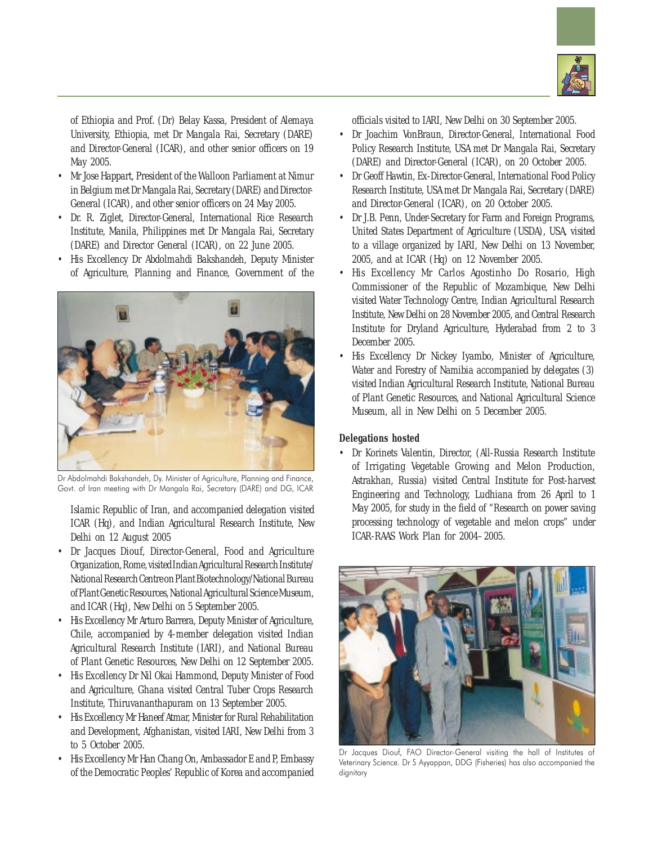

of Ethiopia and Prof. (Dr) Belay Kassa, President of Alemaya University, Ethiopia, met Dr Mangala Rai, Secretary (DARE) and Director-General (ICAR), and other senior officers on 19 May 2005.

- Mr Jose Happart, President of the Walloon Parliament at Nimur in Belgium met Dr Mangala Rai, Secretary (DARE) and Director-General (ICAR), and other senior officers on 24 May 2005.
- Dr. R. Ziglet, Director-General, International Rice Research Institute, Manila, Philippines met Dr Mangala Rai, Secretary (DARE) and Director General (ICAR), on 22 June 2005.
- His Excellency Dr Abdolmahdi Bakshandeh, Deputy Minister of Agriculture, Planning and Finance, Government of the



Dr Abdolmahdi Bakshandeh, Dy. Minister of Agriculture, Planning and Finance, Govt. of Iran meeting with Dr Mangala Rai, Secretary (DARE) and DG, ICAR

Islamic Republic of Iran, and accompanied delegation visited ICAR (Hq), and Indian Agricultural Research Institute, New Delhi on 12 August 2005

- Dr Jacques Diouf, Director-General, Food and Agriculture Organization, Rome, visited Indian Agricultural Research Institute/ National Research Centre on Plant Biotechnology/National Bureau of Plant Genetic Resources, National Agricultural Science Museum, and ICAR (Hq), New Delhi on 5 September 2005.
- His Excellency Mr Arturo Barrera, Deputy Minister of Agriculture, Chile, accompanied by 4-member delegation visited Indian Agricultural Research Institute (IARI), and National Bureau of Plant Genetic Resources, New Delhi on 12 September 2005.
- His Excellency Dr Nil Okai Hammond, Deputy Minister of Food and Agriculture, Ghana visited Central Tuber Crops Research Institute, Thiruvananthapuram on 13 September 2005.
- His Excellency Mr Haneef Atmar, Minister for Rural Rehabilitation and Development, Afghanistan, visited IARI, New Delhi from 3 to 5 October 2005.
- His Excellency Mr Han Chang On, Ambassador E and P, Embassy of the Democratic Peoples' Republic of Korea and accompanied

officials visited to IARI, New Delhi on 30 September 2005.

- Dr Joachim VonBraun, Director-General, International Food Policy Research Institute, USA met Dr Mangala Rai, Secretary (DARE) and Director-General (ICAR), on 20 October 2005.
- Dr Geoff Hawtin, Ex-Director-General, International Food Policy Research Institute, USA met Dr Mangala Rai, Secretary (DARE) and Director-General (ICAR), on 20 October 2005.
- Dr J.B. Penn, Under-Secretary for Farm and Foreign Programs, United States Department of Agriculture (USDA), USA, visited to a village organized by IARI, New Delhi on 13 November, 2005, and at ICAR (Hq) on 12 November 2005.
- His Excellency Mr Carlos Agostinho Do Rosario, High Commissioner of the Republic of Mozambique, New Delhi visited Water Technology Centre, Indian Agricultural Research Institute, New Delhi on 28 November 2005, and Central Research Institute for Dryland Agriculture, Hyderabad from 2 to 3 December 2005.
- His Excellency Dr Nickey Iyambo, Minister of Agriculture, Water and Forestry of Namibia accompanied by delegates (3) visited Indian Agricultural Research Institute, National Bureau of Plant Genetic Resources, and National Agricultural Science Museum, all in New Delhi on 5 December 2005.

## **Delegations hosted**

• Dr Korinets Valentin, Director, (All-Russia Research Institute of Irrigating Vegetable Growing and Melon Production, Astrakhan, Russia) visited Central Institute for Post-harvest Engineering and Technology, Ludhiana from 26 April to 1 May 2005, for study in the field of "Research on power saving processing technology of vegetable and melon crops" under ICAR-RAAS Work Plan for 2004–2005.



Dr Jacques Diouf, FAO Director-General visiting the hall of Institutes of Veterinary Science. Dr S Ayyappan, DDG (Fisheries) has also accompanied the dignitary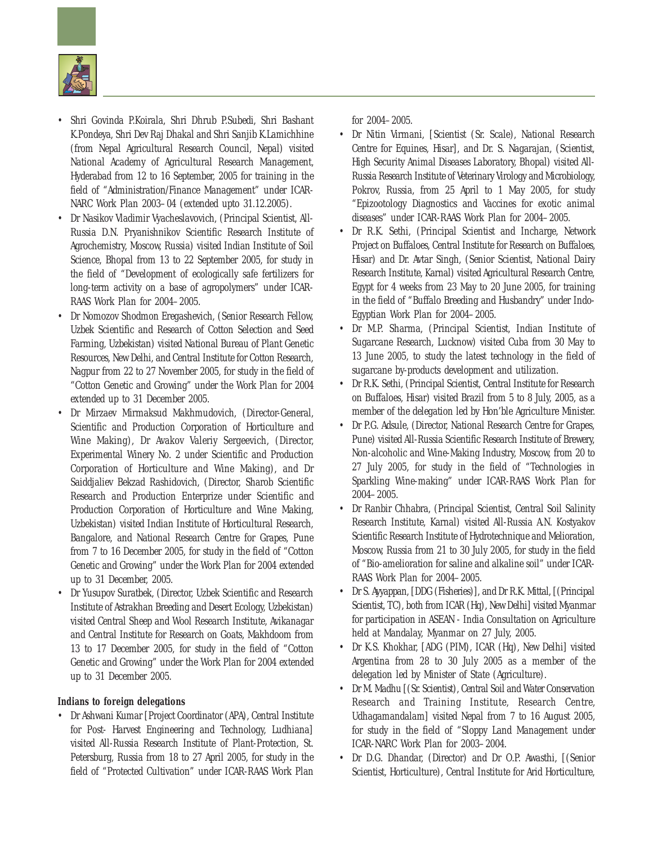

- Shri Govinda P.Koirala, Shri Dhrub P.Subedi, Shri Bashant K.Pondeya, Shri Dev Raj Dhakal and Shri Sanjib K.Lamichhine (from Nepal Agricultural Research Council, Nepal) visited National Academy of Agricultural Research Management, Hyderabad from 12 to 16 September, 2005 for training in the field of "Administration/Finance Management" under ICAR-NARC Work Plan 2003–04 (extended upto 31.12.2005).
- Dr Nasikov Vladimir Vyacheslavovich, (Principal Scientist, All-Russia D.N. Pryanishnikov Scientific Research Institute of Agrochemistry, Moscow, Russia) visited Indian Institute of Soil Science, Bhopal from 13 to 22 September 2005, for study in the field of "Development of ecologically safe fertilizers for long-term activity on a base of agropolymers" under ICAR-RAAS Work Plan for 2004–2005.
- Dr Nomozov Shodmon Eregashevich, (Senior Research Fellow, Uzbek Scientific and Research of Cotton Selection and Seed Farming, Uzbekistan) visited National Bureau of Plant Genetic Resources, New Delhi, and Central Institute for Cotton Research, Nagpur from 22 to 27 November 2005, for study in the field of "Cotton Genetic and Growing" under the Work Plan for 2004 extended up to 31 December 2005.
- Dr Mirzaev Mirmaksud Makhmudovich, (Director-General, Scientific and Production Corporation of Horticulture and Wine Making), Dr Avakov Valeriy Sergeevich, (Director, Experimental Winery No. 2 under Scientific and Production Corporation of Horticulture and Wine Making), and Dr Saiddjaliev Bekzad Rashidovich, (Director, Sharob Scientific Research and Production Enterprize under Scientific and Production Corporation of Horticulture and Wine Making, Uzbekistan) visited Indian Institute of Horticultural Research, Bangalore, and National Research Centre for Grapes, Pune from 7 to 16 December 2005, for study in the field of "Cotton Genetic and Growing" under the Work Plan for 2004 extended up to 31 December, 2005.
- Dr Yusupov Suratbek, (Director, Uzbek Scientific and Research Institute of Astrakhan Breeding and Desert Ecology, Uzbekistan) visited Central Sheep and Wool Research Institute, Avikanagar and Central Institute for Research on Goats, Makhdoom from 13 to 17 December 2005, for study in the field of "Cotton Genetic and Growing" under the Work Plan for 2004 extended up to 31 December 2005.

## **Indians to foreign delegations**

• Dr Ashwani Kumar [Project Coordinator (APA), Central Institute for Post- Harvest Engineering and Technology, Ludhiana] visited All-Russia Research Institute of Plant-Protection, St. Petersburg, Russia from 18 to 27 April 2005, for study in the field of "Protected Cultivation" under ICAR-RAAS Work Plan for 2004–2005.

- Dr Nitin Virmani, [Scientist (Sr. Scale), National Research Centre for Equines, Hisar], and Dr. S. Nagarajan, (Scientist, High Security Animal Diseases Laboratory, Bhopal) visited All-Russia Research Institute of Veterinary Virology and Microbiology, Pokrov, Russia, from 25 April to 1 May 2005, for study "Epizootology Diagnostics and Vaccines for exotic animal diseases" under ICAR-RAAS Work Plan for 2004–2005.
- Dr R.K. Sethi, (Principal Scientist and Incharge, Network Project on Buffaloes, Central Institute for Research on Buffaloes, Hisar) and Dr. Avtar Singh, (Senior Scientist, National Dairy Research Institute, Karnal) visited Agricultural Research Centre, Egypt for 4 weeks from 23 May to 20 June 2005, for training in the field of "Buffalo Breeding and Husbandry" under Indo-Egyptian Work Plan for 2004–2005.
- Dr M.P. Sharma, (Principal Scientist, Indian Institute of Sugarcane Research, Lucknow) visited Cuba from 30 May to 13 June 2005, to study the latest technology in the field of sugarcane by-products development and utilization.
- Dr R.K. Sethi, (Principal Scientist, Central Institute for Research on Buffaloes, Hisar) visited Brazil from 5 to 8 July, 2005, as a member of the delegation led by Hon'ble Agriculture Minister.
- Dr P.G. Adsule, (Director, National Research Centre for Grapes, Pune) visited All-Russia Scientific Research Institute of Brewery, Non-alcoholic and Wine-Making Industry, Moscow, from 20 to 27 July 2005, for study in the field of "Technologies in Sparkling Wine-making" under ICAR-RAAS Work Plan for 2004–2005.
- Dr Ranbir Chhabra, (Principal Scientist, Central Soil Salinity Research Institute, Karnal) visited All-Russia A.N. Kostyakov Scientific Research Institute of Hydrotechnique and Melioration, Moscow, Russia from 21 to 30 July 2005, for study in the field of "Bio-amelioration for saline and alkaline soil" under ICAR-RAAS Work Plan for 2004–2005.
- Dr S. Ayyappan, [DDG (Fisheries)], and Dr R.K. Mittal, [(Principal Scientist, TC), both from ICAR (Hq), New Delhi] visited Myanmar for participation in ASEAN - India Consultation on Agriculture held at Mandalay, Myanmar on 27 July, 2005.
- Dr K.S. Khokhar, [ADG (PIM), ICAR (Hq), New Delhi] visited Argentina from 28 to 30 July 2005 as a member of the delegation led by Minister of State (Agriculture).
- Dr M. Madhu [(Sr. Scientist), Central Soil and Water Conservation Research and Training Institute, Research Centre, Udhagamandalam] visited Nepal from 7 to 16 August 2005, for study in the field of "Sloppy Land Management under ICAR-NARC Work Plan for 2003–2004.
- Dr D.G. Dhandar, (Director) and Dr O.P. Awasthi, [(Senior Scientist, Horticulture), Central Institute for Arid Horticulture,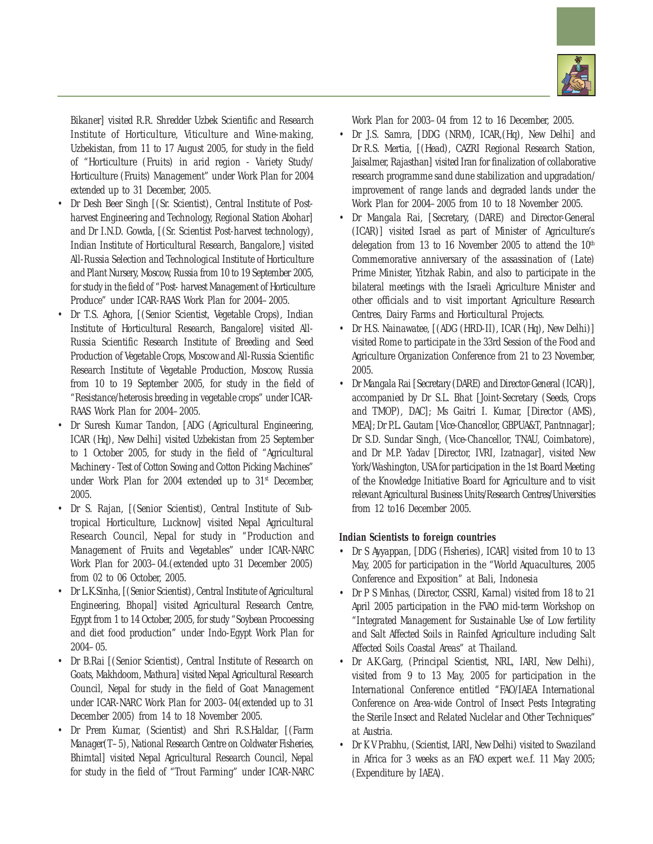

Bikaner] visited R.R. Shredder Uzbek Scientific and Research Institute of Horticulture, Viticulture and Wine-making, Uzbekistan, from 11 to 17 August 2005, for study in the field of "Horticulture (Fruits) in arid region - Variety Study/ Horticulture (Fruits) Management" under Work Plan for 2004 extended up to 31 December, 2005.

- Dr Desh Beer Singh [(Sr. Scientist), Central Institute of Postharvest Engineering and Technology, Regional Station Abohar] and Dr I.N.D. Gowda, [(Sr. Scientist Post-harvest technology), Indian Institute of Horticultural Research, Bangalore,] visited All-Russia Selection and Technological Institute of Horticulture and Plant Nursery, Moscow, Russia from 10 to 19 September 2005, for study in the field of "Post- harvest Management of Horticulture Produce" under ICAR-RAAS Work Plan for 2004–2005.
- Dr T.S. Aghora, [(Senior Scientist, Vegetable Crops), Indian Institute of Horticultural Research, Bangalore] visited All-Russia Scientific Research Institute of Breeding and Seed Production of Vegetable Crops, Moscow and All-Russia Scientific Research Institute of Vegetable Production, Moscow, Russia from 10 to 19 September 2005, for study in the field of "Resistance/heterosis breeding in vegetable crops" under ICAR-RAAS Work Plan for 2004–2005.
- Dr Suresh Kumar Tandon, [ADG (Agricultural Engineering, ICAR (Hq), New Delhi] visited Uzbekistan from 25 September to 1 October 2005, for study in the field of "Agricultural Machinery - Test of Cotton Sowing and Cotton Picking Machines" under Work Plan for 2004 extended up to 31st December, 2005.
- Dr S. Rajan, [(Senior Scientist), Central Institute of Subtropical Horticulture, Lucknow] visited Nepal Agricultural Research Council, Nepal for study in "Production and Management of Fruits and Vegetables" under ICAR-NARC Work Plan for 2003–04.(extended upto 31 December 2005) from 02 to 06 October, 2005.
- Dr L.K.Sinha, [(Senior Scientist), Central Institute of Agricultural Engineering, Bhopal] visited Agricultural Research Centre, Egypt from 1 to 14 October, 2005, for study "Soybean Procoessing and diet food production" under Indo-Egypt Work Plan for 2004–05.
- Dr B.Rai [(Senior Scientist), Central Institute of Research on Goats, Makhdoom, Mathura] visited Nepal Agricultural Research Council, Nepal for study in the field of Goat Management under ICAR-NARC Work Plan for 2003–04(extended up to 31 December 2005) from 14 to 18 November 2005.
- Dr Prem Kumar, (Scientist) and Shri R.S.Haldar, [(Farm Manager(T–5), National Research Centre on Coldwater Fisheries, Bhimtal] visited Nepal Agricultural Research Council, Nepal for study in the field of "Trout Farming" under ICAR-NARC

Work Plan for 2003–04 from 12 to 16 December, 2005.

- Dr J.S. Samra, [DDG (NRM), ICAR,(Hq), New Delhi] and Dr R.S. Mertia, [(Head), CAZRI Regional Research Station, Jaisalmer, Rajasthan] visited Iran for finalization of collaborative research programme sand dune stabilization and upgradation/ improvement of range lands and degraded lands under the Work Plan for 2004–2005 from 10 to 18 November 2005.
- Dr Mangala Rai, [Secretary, (DARE) and Director-General (ICAR)] visited Israel as part of Minister of Agriculture's delegation from 13 to 16 November 2005 to attend the 10<sup>th</sup> Commemorative anniversary of the assassination of (Late) Prime Minister, Yitzhak Rabin, and also to participate in the bilateral meetings with the Israeli Agriculture Minister and other officials and to visit important Agriculture Research Centres, Dairy Farms and Horticultural Projects.
- Dr H.S. Nainawatee, [(ADG (HRD-II), ICAR (Hq), New Delhi)] visited Rome to participate in the 33rd Session of the Food and Agriculture Organization Conference from 21 to 23 November, 2005.
- Dr Mangala Rai [Secretary (DARE) and Director-General (ICAR)], accompanied by Dr S.L. Bhat [Joint-Secretary (Seeds, Crops and TMOP), DAC]; Ms Gaitri I. Kumar, [Director (AMS), MEA]; Dr P.L. Gautam [Vice-Chancellor, GBPUA&T, Pantnnagar]; Dr S.D. Sundar Singh, (Vice-Chancellor, TNAU, Coimbatore), and Dr M.P. Yadav [Director, IVRI, Izatnagar], visited New York/Washington, USA for participation in the 1st Board Meeting of the Knowledge Initiative Board for Agriculture and to visit relevant Agricultural Business Units/Research Centres/Universities from 12 to16 December 2005.

## **Indian Scientists to foreign countries**

- Dr S Ayyappan, [DDG (Fisheries), ICAR] visited from 10 to 13 May, 2005 for participation in the "World Aquacultures, 2005 Conference and Exposition" at Bali, Indonesia
- Dr P S Minhas, (Director, CSSRI, Karnal) visited from 18 to 21 April 2005 participation in the FVAO mid-term Workshop on "Integrated Management for Sustainable Use of Low fertility and Salt Affected Soils in Rainfed Agriculture including Salt Affected Soils Coastal Areas" at Thailand.
- Dr A.K.Garg, (Principal Scientist, NRL, IARI, New Delhi), visited from 9 to 13 May, 2005 for participation in the International Conference entitled "FAO/IAEA International Conference on Area-wide Control of Insect Pests Integrating the Sterile Insect and Related Nuclelar and Other Techniques" at Austria.
- Dr K V Prabhu, (Scientist, IARI, New Delhi) visited to Swaziland in Africa for 3 weeks as an FAO expert w.e.f. 11 May 2005; (Expenditure by IAEA).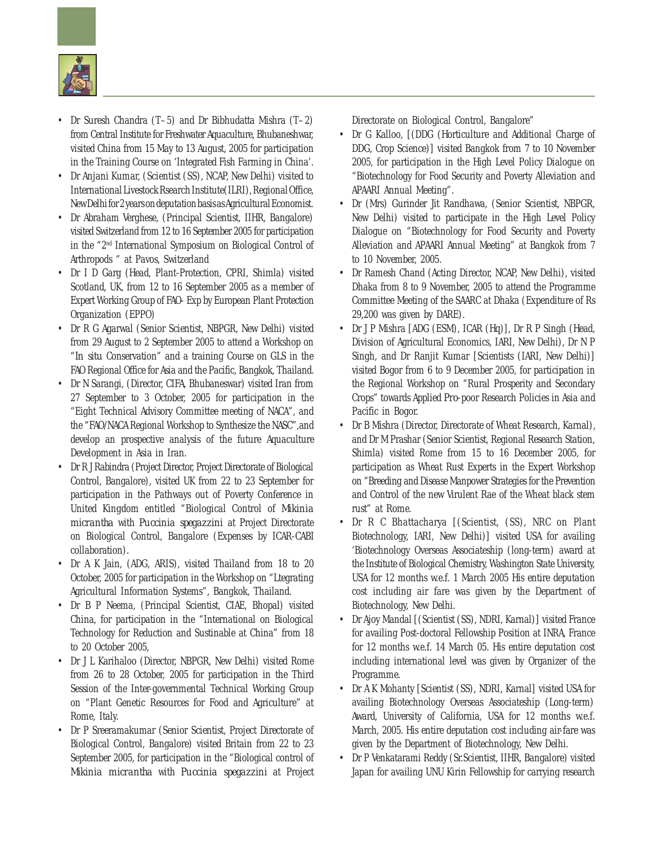

- Dr Suresh Chandra (T–5) and Dr Bibhudatta Mishra (T–2) from Central Institute for Freshwater Aquaculture, Bhubaneshwar, visited China from 15 May to 13 August, 2005 for participation in the Training Course on 'Integrated Fish Farming in China'.
- Dr Anjani Kumar, (Scientist (SS), NCAP, New Delhi) visited to International Livestock Rsearch Institute(ILRI), Regional Office, New Delhi for 2 years on deputation basis as Agricultural Economist.
- Dr Abraham Verghese, (Principal Scientist, IIHR, Bangalore) visited Switzerland from 12 to 16 September 2005 for participation in the "2nd International Symposium on Biological Control of Arthropods " at Pavos, Switzerland
- Dr I D Garg (Head, Plant-Protection, CPRI, Shimla) visited Scotland, UK, from 12 to 16 September 2005 as a member of Expert Working Group of FAO- Exp by European Plant Protection Organization (EPPO)
- Dr R G Agarwal (Senior Scientist, NBPGR, New Delhi) visited from 29 August to 2 September 2005 to attend a Workshop on "*In situ* Conservation" and a training Course on GLS in the FAO Regional Office for Asia and the Pacific, Bangkok, Thailand.
- Dr N Sarangi, (Director, CIFA, Bhubaneswar) visited Iran from 27 September to 3 October, 2005 for participation in the "Eight Technical Advisory Committee meeting of NACA", and the "FAO/NACA Regional Workshop to Synthesize the NASC",and develop an prospective analysis of the future Aquaculture Development in Asia in Iran.
- Dr R J Rabindra (Project Director, Project Directorate of Biological Control, Bangalore), visited UK from 22 to 23 September for participation in the Pathways out of Poverty Conference in United Kingdom entitled "Biological Control of *Mikinia micrantha* with *Puccinia spegazzini* at Project Directorate on Biological Control, Bangalore (Expenses by ICAR-CABI collaboration).
- Dr A K Jain, (ADG, ARIS), visited Thailand from 18 to 20 October, 2005 for participation in the Workshop on "Ltegrating Agricultural Information Systems", Bangkok, Thailand.
- Dr B P Neema, (Principal Scientist, CIAE, Bhopal) visited China, for participation in the "International on Biological Technology for Reduction and Sustinable at China" from 18 to 20 October 2005,
- Dr J L Karihaloo (Director, NBPGR, New Delhi) visited Rome from 26 to 28 October, 2005 for participation in the Third Session of the Inter-governmental Technical Working Group on "Plant Genetic Resources for Food and Agriculture" at Rome, Italy.
- Dr P Sreeramakumar (Senior Scientist, Project Directorate of Biological Control, Bangalore) visited Britain from 22 to 23 September 2005, for participation in the "Biological control of *Mikinia micrantha* with *Puccinia spegazzini* at Project

Directorate on Biological Control, Bangalore"

- Dr G Kalloo, [(DDG (Horticulture and Additional Charge of DDG, Crop Science)] visited Bangkok from 7 to 10 November 2005, for participation in the High Level Policy Dialogue on "Biotechnology for Food Security and Poverty Alleviation and APAARI Annual Meeting".
- Dr (Mrs) Gurinder Jit Randhawa, (Senior Scientist, NBPGR, New Delhi) visited to participate in the High Level Policy Dialogue on "Biotechnology for Food Security and Poverty Alleviation and APAARI Annual Meeting" at Bangkok from 7 to 10 November, 2005.
- Dr Ramesh Chand (Acting Director, NCAP, New Delhi), visited Dhaka from 8 to 9 November, 2005 to attend the Programme Committee Meeting of the SAARC at Dhaka (Expenditure of Rs 29,200 was given by DARE).
- Dr J P Mishra [ADG (ESM), ICAR (Hq)], Dr R P Singh (Head, Division of Agricultural Economics, IARI, New Delhi), Dr N P Singh, and Dr Ranjit Kumar [Scientists (IARI, New Delhi)] visited Bogor from 6 to 9 December 2005, for participation in the Regional Workshop on "Rural Prosperity and Secondary Crops" towards Applied *Pro*-poor Research Policies in Asia and Pacific in Bogor.
- Dr B Mishra (Director, Directorate of Wheat Research, Karnal), and Dr M Prashar (Senior Scientist, Regional Research Station, Shimla) visited Rome from 15 to 16 December 2005, for participation as Wheat Rust Experts in the Expert Workshop on "Breeding and Disease Manpower Strategies for the Prevention and Control of the new Virulent Rae of the Wheat black stem rust" at Rome.
- Dr R C Bhattacharya [(Scientist, (SS), NRC on Plant Biotechnology, IARI, New Delhi)] visited USA for availing 'Biotechnology Overseas Associateship (long-term) award at the Institute of Biological Chemistry, Washington State University, USA for 12 months w.e.f. 1 March 2005 His entire deputation cost including air fare was given by the Department of Biotechnology, New Delhi.
- Dr Ajoy Mandal [(Scientist (SS), NDRI, Karnal)] visited France for availing Post-doctoral Fellowship Position at INRA, France for 12 months w.e.f. 14 March 05. His entire deputation cost including international level was given by Organizer of the Programme.
- Dr A K Mohanty [Scientist (SS), NDRI, Karnal] visited USA for availing Biotechnology Overseas Associateship (Long-term) Award, University of California, USA for 12 months w.e.f. March, 2005. His entire deputation cost including air-fare was given by the Department of Biotechnology, New Delhi.
- Dr P Venkatarami Reddy (Sr.Scientist, IIHR, Bangalore) visited Japan for availing UNU Kirin Fellowship for carrying research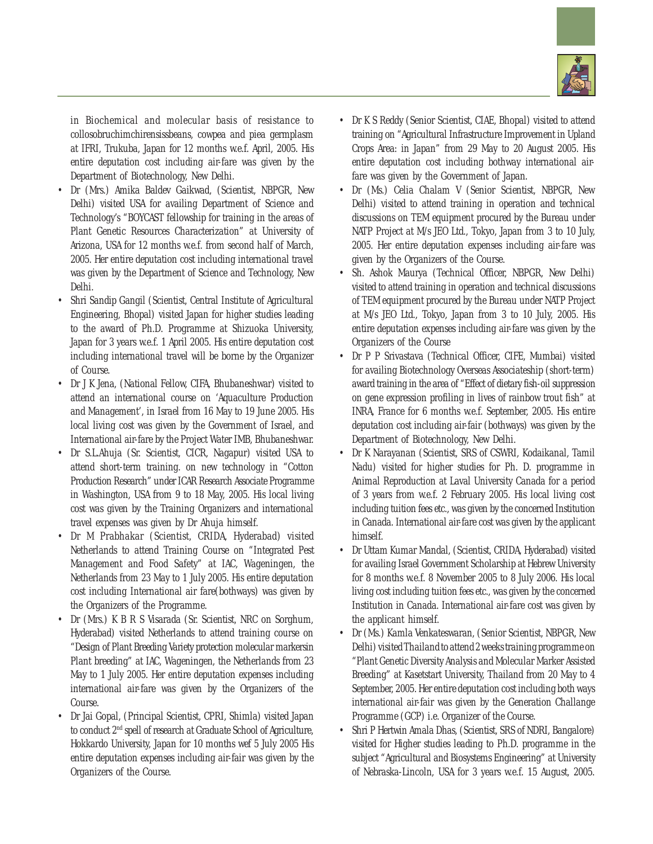

in Biochemical and molecular basis of resistance to collosobruchimchirensissbeans, cowpea and piea germplasm at IFRI, Trukuba, Japan for 12 months w.e.f. April, 2005. His entire deputation cost including air-fare was given by the Department of Biotechnology, New Delhi.

- Dr (Mrs.) Amika Baldev Gaikwad, (Scientist, NBPGR, New Delhi) visited USA for availing Department of Science and Technology's "BOYCAST fellowship for training in the areas of Plant Genetic Resources Characterization" at University of Arizona, USA for 12 months w.e.f. from second half of March, 2005. Her entire deputation cost including international travel was given by the Department of Science and Technology, New Delhi.
- Shri Sandip Gangil (Scientist, Central Institute of Agricultural Engineering, Bhopal) visited Japan for higher studies leading to the award of Ph.D. Programme at Shizuoka University, Japan for 3 years w.e.f. 1 April 2005. His entire deputation cost including international travel will be borne by the Organizer of Course.
- Dr J K Jena, (National Fellow, CIFA, Bhubaneshwar) visited to attend an international course on 'Aquaculture Production and Management', in Israel from 16 May to 19 June 2005. His local living cost was given by the Government of Israel, and International air-fare by the Project Water IMB, Bhubaneshwar.
- Dr S.L.Ahuja (Sr. Scientist, CICR, Nagapur) visited USA to attend short-term training. on new technology in "Cotton Production Research" under ICAR Research Associate Programme in Washington, USA from 9 to 18 May, 2005. His local living cost was given by the Training Organizers and international travel expenses was given by Dr Ahuja himself.
- Dr M Prabhakar (Scientist, CRIDA, Hyderabad) visited Netherlands to attend Training Course on "Integrated Pest Management and Food Safety" at IAC, Wageningen, the Netherlands from 23 May to 1 July 2005. His entire deputation cost including International air fare(bothways) was given by the Organizers of the Programme.
- Dr (Mrs.) K B R S Visarada (Sr. Scientist, NRC on Sorghum, Hyderabad) visited Netherlands to attend training course on "Design of Plant Breeding Variety protection molecular markersin Plant breeding" at IAC, Wageningen, the Netherlands from 23 May to 1 July 2005. Her entire deputation expenses including international air-fare was given by the Organizers of the Course.
- Dr Jai Gopal, (Principal Scientist, CPRI, Shimla) visited Japan to conduct 2nd spell of research at Graduate School of Agriculture, Hokkardo University, Japan for 10 months wef 5 July 2005 His entire deputation expenses including air-fair was given by the Organizers of the Course.
- Dr K S Reddy (Senior Scientist, CIAE, Bhopal) visited to attend training on "Agricultural Infrastructure Improvement in Upland Crops Area: in Japan" from 29 May to 20 August 2005. His entire deputation cost including bothway international airfare was given by the Government of Japan.
- Dr (Ms.) Celia Chalam V (Senior Scientist, NBPGR, New Delhi) visited to attend training in operation and technical discussions on TEM equipment procured by the Bureau under NATP Project at M/s JEO Ltd., Tokyo, Japan from 3 to 10 July, 2005. Her entire deputation expenses including air-fare was given by the Organizers of the Course.
- Sh. Ashok Maurya (Technical Officer, NBPGR, New Delhi) visited to attend training in operation and technical discussions of TEM equipment procured by the Bureau under NATP Project at M/s JEO Ltd., Tokyo, Japan from 3 to 10 July, 2005. His entire deputation expenses including air-fare was given by the Organizers of the Course
- Dr P P Srivastava (Technical Officer, CIFE, Mumbai) visited for availing Biotechnology Overseas Associateship (short-term) award training in the area of "Effect of dietary fish-oil suppression on gene expression profiling in lives of rainbow trout fish" at INRA, France for 6 months w.e.f. September, 2005. His entire deputation cost including air-fair (bothways) was given by the Department of Biotechnology, New Delhi.
- Dr K Narayanan (Scientist, SRS of CSWRI, Kodaikanal, Tamil Nadu) visited for higher studies for Ph. D. programme in Animal Reproduction at Laval University Canada for a period of 3 years from w.e.f. 2 February 2005. His local living cost including tuition fees etc., was given by the concerned Institution in Canada. International air-fare cost was given by the applicant himself.
- Dr Uttam Kumar Mandal, (Scientist, CRIDA, Hyderabad) visited for availing Israel Government Scholarship at Hebrew University for 8 months w.e.f. 8 November 2005 to 8 July 2006. His local living cost including tuition fees etc., was given by the concerned Institution in Canada. International air-fare cost was given by the applicant himself.
- Dr (Ms.) Kamla Venkateswaran, (Senior Scientist, NBPGR, New Delhi) visited Thailand to attend 2 weeks training programme on "Plant Genetic Diversity Analysis and Molecular Marker Assisted Breeding" at Kasetstart University, Thailand from 20 May to 4 September, 2005. Her entire deputation cost including both ways international air-fair was given by the Generation Challange Programme (GCP) i.e. Organizer of the Course.
- Shri P Hertwin Amala Dhas, (Scientist, SRS of NDRI, Bangalore) visited for Higher studies leading to Ph.D. programme in the subject "Agricultural and Biosystems Engineering" at University of Nebraska-Lincoln, USA for 3 years w.e.f. 15 August, 2005.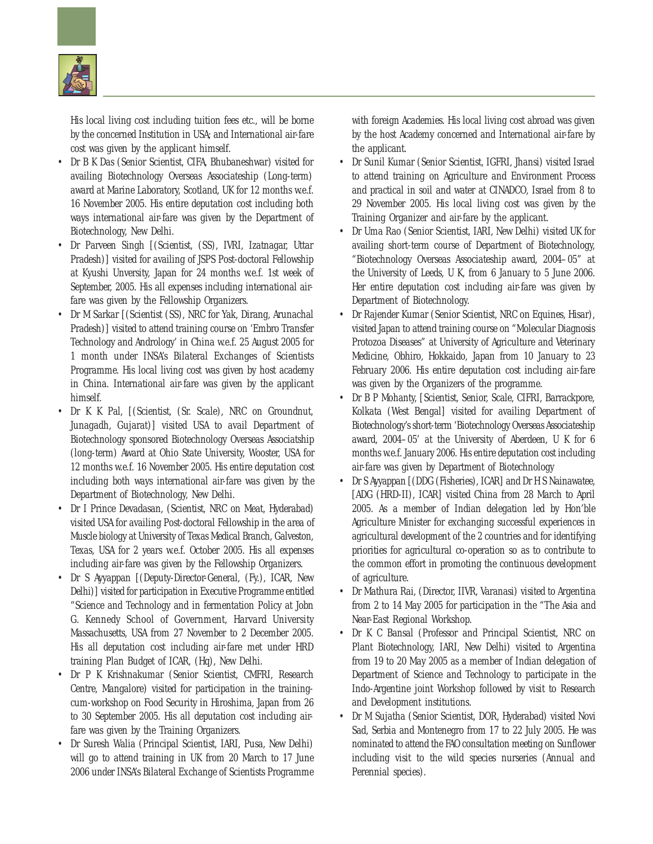

His local living cost including tuition fees etc., will be borne by the concerned Institution in USA; and International air-fare cost was given by the applicant himself.

- Dr B K Das (Senior Scientist, CIFA, Bhubaneshwar) visited for availing Biotechnology Overseas Associateship (Long-term) award at Marine Laboratory, Scotland, UK for 12 months w.e.f. 16 November 2005. His entire deputation cost including both ways international air-fare was given by the Department of Biotechnology, New Delhi.
- Dr Parveen Singh [(Scientist, (SS), IVRI, Izatnagar, Uttar Pradesh)] visited for availing of JSPS Post-doctoral Fellowship at Kyushi Unversity, Japan for 24 months w.e.f. 1st week of September, 2005. His all expenses including international airfare was given by the Fellowship Organizers.
- Dr M Sarkar [(Scientist (SS), NRC for Yak, Dirang, Arunachal Pradesh)] visited to attend training course on 'Embro Transfer Technology and Andrology' in China w.e.f. 25 August 2005 for 1 month under INSA's Bilateral Exchanges of Scientists Programme. His local living cost was given by host academy in China. International air-fare was given by the applicant himself.
- Dr K K Pal, [(Scientist, (Sr. Scale), NRC on Groundnut, Junagadh, Gujarat)] visited USA to avail Department of Biotechnology sponsored Biotechnology Overseas Associatship (long-term) Award at Ohio State University, Wooster, USA for 12 months w.e.f. 16 November 2005. His entire deputation cost including both ways international air-fare was given by the Department of Biotechnology, New Delhi.
- Dr I Prince Devadasan, (Scientist, NRC on Meat, Hyderabad) visited USA for availing Post-doctoral Fellowship in the area of Muscle biology at University of Texas Medical Branch, Galveston, Texas, USA for 2 years w.e.f. October 2005. His all expenses including air-fare was given by the Fellowship Organizers.
- Dr S Ayyappan [(Deputy-Director-General, (Fy.), ICAR, New Delhi)] visited for participation in Executive Programme entitled "Science and Technology and in fermentation Policy at Jobn G. Kennedy School of Government, Harvard University Massachusetts, USA from 27 November to 2 December 2005. His all deputation cost including air-fare met under HRD training Plan Budget of ICAR, (Hq), New Delhi.
- Dr P K Krishnakumar (Senior Scientist, CMFRI, Research Centre, Mangalore) visited for participation in the trainingcum-workshop on Food Security in Hiroshima, Japan from 26 to 30 September 2005. His all deputation cost including airfare was given by the Training Organizers.
- Dr Suresh Walia (Principal Scientist, IARI, Pusa, New Delhi) will go to attend training in UK from 20 March to 17 June 2006 under INSA's Bilateral Exchange of Scientists Programme

with foreign Academies. His local living cost abroad was given by the host Academy concerned and International air-fare by the applicant.

- Dr Sunil Kumar (Senior Scientist, IGFRI, Jhansi) visited Israel to attend training on Agriculture and Environment Process and practical in soil and water at CINADCO, Israel from 8 to 29 November 2005. His local living cost was given by the Training Organizer and air-fare by the applicant.
- Dr Uma Rao (Senior Scientist, IARI, New Delhi) visited UK for availing short-term course of Department of Biotechnology, "Biotechnology Overseas Associateship award, 2004–05" at the University of Leeds, U K, from 6 January to 5 June 2006. Her entire deputation cost including air-fare was given by Department of Biotechnology.
- Dr Rajender Kumar (Senior Scientist, NRC on Equines, Hisar), visited Japan to attend training course on "Molecular Diagnosis Protozoa Diseases" at University of Agriculture and Veterinary Medicine, Obhiro, Hokkaido, Japan from 10 January to 23 February 2006. His entire deputation cost including air-fare was given by the Organizers of the programme.
- Dr B P Mohanty, [Scientist, Senior, Scale, CIFRI, Barrackpore, Kolkata (West Bengal] visited for availing Department of Biotechnology's short-term 'Biotechnology Overseas Associateship award, 2004–05' at the University of Aberdeen, U K for 6 months w.e.f. January 2006. His entire deputation cost including air-fare was given by Department of Biotechnology
- Dr S Ayyappan [(DDG (Fisheries), ICAR] and Dr H S Nainawatee, [ADG (HRD-II), ICAR] visited China from 28 March to April 2005. As a member of Indian delegation led by Hon'ble Agriculture Minister for exchanging successful experiences in agricultural development of the 2 countries and for identifying priorities for agricultural co-operation so as to contribute to the common effort in promoting the continuous development of agriculture.
- Dr Mathura Rai, (Director, IIVR, Varanasi) visited to Argentina from 2 to 14 May 2005 for participation in the "The Asia and Near-East Regional Workshop.
- Dr K C Bansal (Professor and Principal Scientist, NRC on Plant Biotechnology, IARI, New Delhi) visited to Argentina from 19 to 20 May 2005 as a member of Indian delegation of Department of Science and Technology to participate in the Indo-Argentine joint Workshop followed by visit to Research and Development institutions.
- Dr M Sujatha (Senior Scientist, DOR, Hyderabad) visited Novi Sad, Serbia and Montenegro from 17 to 22 July 2005. He was nominated to attend the FAO consultation meeting on Sunflower including visit to the wild species nurseries (Annual and Perennial species).